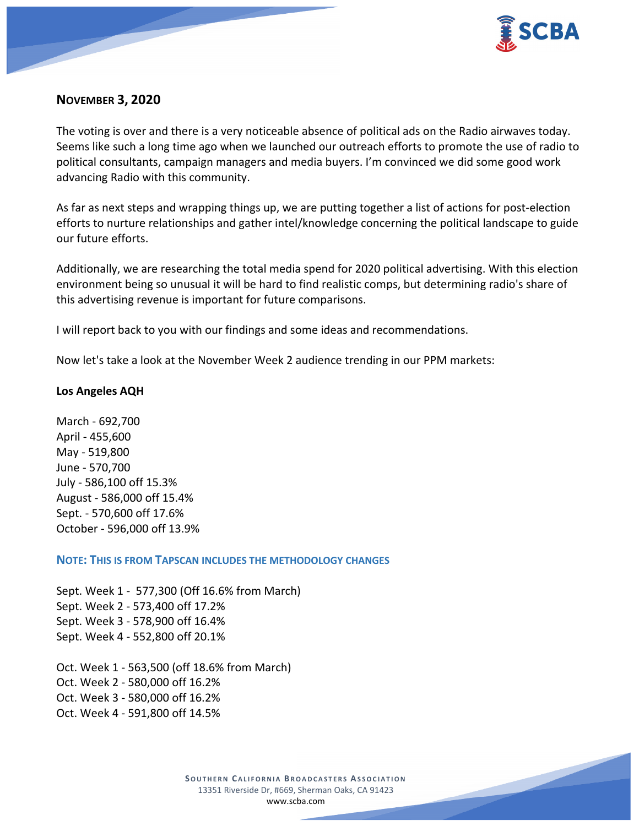

## **NOVEMBER 3, 2020**

The voting is over and there is a very noticeable absence of political ads on the Radio airwaves today. Seems like such a long time ago when we launched our outreach efforts to promote the use of radio to political consultants, campaign managers and media buyers. I'm convinced we did some good work advancing Radio with this community.

As far as next steps and wrapping things up, we are putting together a list of actions for post-election efforts to nurture relationships and gather intel/knowledge concerning the political landscape to guide our future efforts.

Additionally, we are researching the total media spend for 2020 political advertising. With this election environment being so unusual it will be hard to find realistic comps, but determining radio's share of this advertising revenue is important for future comparisons.

I will report back to you with our findings and some ideas and recommendations.

Now let's take a look at the November Week 2 audience trending in our PPM markets:

### **Los Angeles AQH**

March - 692,700 April - 455,600 May - 519,800 June - 570,700 July - 586,100 off 15.3% August - 586,000 off 15.4% Sept. - 570,600 off 17.6% October - 596,000 off 13.9%

**NOTE: THIS IS FROM TAPSCAN INCLUDES THE METHODOLOGY CHANGES** 

Sept. Week 1 - 577,300 (Off 16.6% from March) Sept. Week 2 - 573,400 off 17.2% Sept. Week 3 - 578,900 off 16.4% Sept. Week 4 - 552,800 off 20.1%

Oct. Week 1 - 563,500 (off 18.6% from March) Oct. Week 2 - 580,000 off 16.2% Oct. Week 3 - 580,000 off 16.2% Oct. Week 4 - 591,800 off 14.5%

> **SOUTHERN CALIFORNIA BROADCASTERS ASSOCIATION** 13351 Riverside Dr, #669, Sherman Oaks, CA 91423 [www.scba.com](http://www.scba.com/)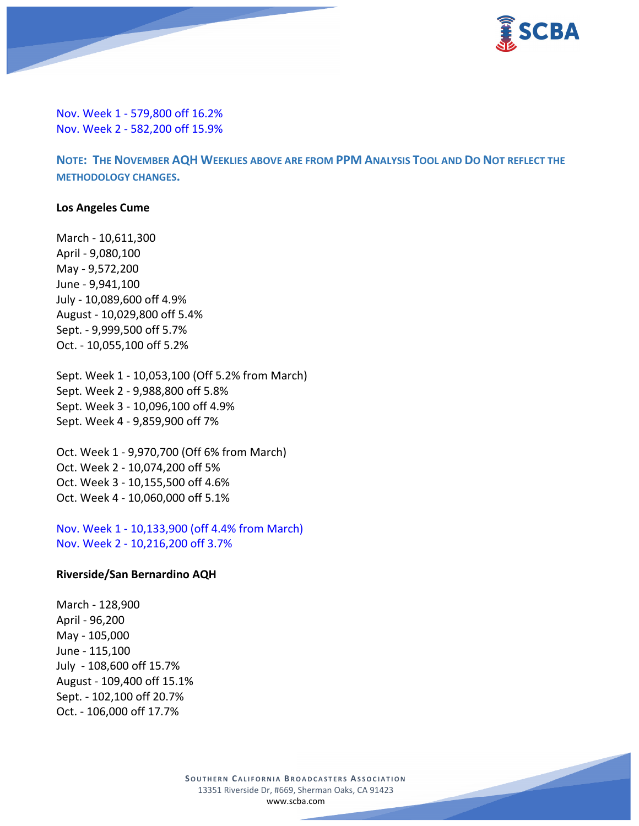

Nov. Week 1 - 579,800 off 16.2% Nov. Week 2 - 582,200 off 15.9%

**NOTE: THE NOVEMBER AQH WEEKLIES ABOVE ARE FROM PPM ANALYSIS TOOL AND DO NOT REFLECT THE METHODOLOGY CHANGES.**

#### **Los Angeles Cume**

March - 10,611,300 April - 9,080,100 May - 9,572,200 June - 9,941,100 July - 10,089,600 off 4.9% August - 10,029,800 off 5.4% Sept. - 9,999,500 off 5.7% Oct. - 10,055,100 off 5.2%

Sept. Week 1 - 10,053,100 (Off 5.2% from March) Sept. Week 2 - 9,988,800 off 5.8% Sept. Week 3 - 10,096,100 off 4.9% Sept. Week 4 - 9,859,900 off 7%

Oct. Week 1 - 9,970,700 (Off 6% from March) Oct. Week 2 - 10,074,200 off 5% Oct. Week 3 - 10,155,500 off 4.6% Oct. Week 4 - 10,060,000 off 5.1%

Nov. Week 1 - 10,133,900 (off 4.4% from March) Nov. Week 2 - 10,216,200 off 3.7%

#### **Riverside/San Bernardino AQH**

March - 128,900 April - 96,200 May - 105,000 June - 115,100 July - 108,600 off 15.7% August - 109,400 off 15.1% Sept. - 102,100 off 20.7% Oct. - 106,000 off 17.7%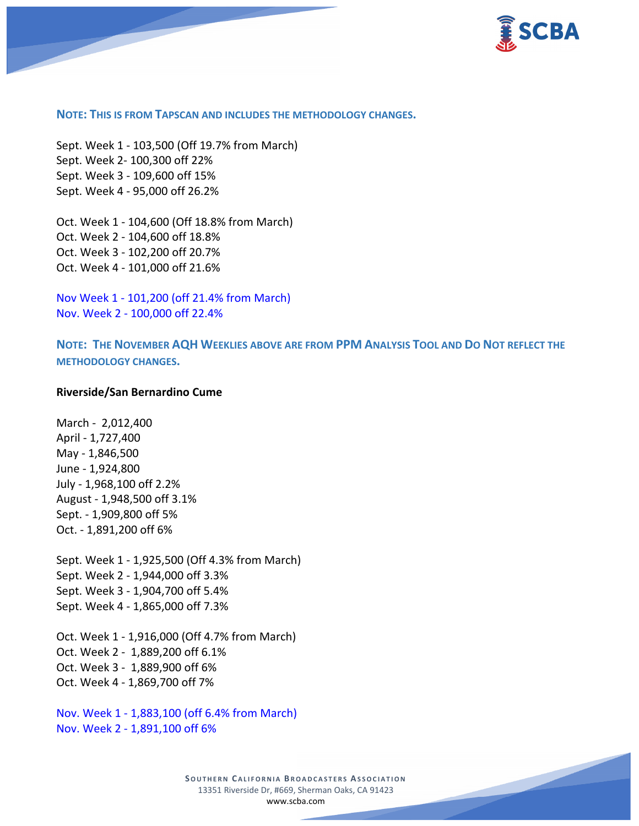

#### **NOTE: THIS IS FROM TAPSCAN AND INCLUDES THE METHODOLOGY CHANGES.**

Sept. Week 1 - 103,500 (Off 19.7% from March) Sept. Week 2- 100,300 off 22% Sept. Week 3 - 109,600 off 15% Sept. Week 4 - 95,000 off 26.2%

Oct. Week 1 - 104,600 (Off 18.8% from March) Oct. Week 2 - 104,600 off 18.8% Oct. Week 3 - 102,200 off 20.7% Oct. Week 4 - 101,000 off 21.6%

Nov Week 1 - 101,200 (off 21.4% from March) Nov. Week 2 - 100,000 off 22.4%

**NOTE: THE NOVEMBER AQH WEEKLIES ABOVE ARE FROM PPM ANALYSIS TOOL AND DO NOT REFLECT THE METHODOLOGY CHANGES.**

#### **Riverside/San Bernardino Cume**

March - 2,012,400 April - 1,727,400 May - 1,846,500 June - 1,924,800 July - 1,968,100 off 2.2% August - 1,948,500 off 3.1% Sept. - 1,909,800 off 5% Oct. - 1,891,200 off 6%

Sept. Week 1 - 1,925,500 (Off 4.3% from March) Sept. Week 2 - 1,944,000 off 3.3% Sept. Week 3 - 1,904,700 off 5.4% Sept. Week 4 - 1,865,000 off 7.3%

Oct. Week 1 - 1,916,000 (Off 4.7% from March) Oct. Week 2 - 1,889,200 off 6.1% Oct. Week 3 - 1,889,900 off 6% Oct. Week 4 - 1,869,700 off 7%

Nov. Week 1 - 1,883,100 (off 6.4% from March) Nov. Week 2 - 1,891,100 off 6%

> **SOUTHERN CALIFORNIA BROADCASTERS ASSOCIATION** 13351 Riverside Dr, #669, Sherman Oaks, CA 91423 [www.scba.com](http://www.scba.com/)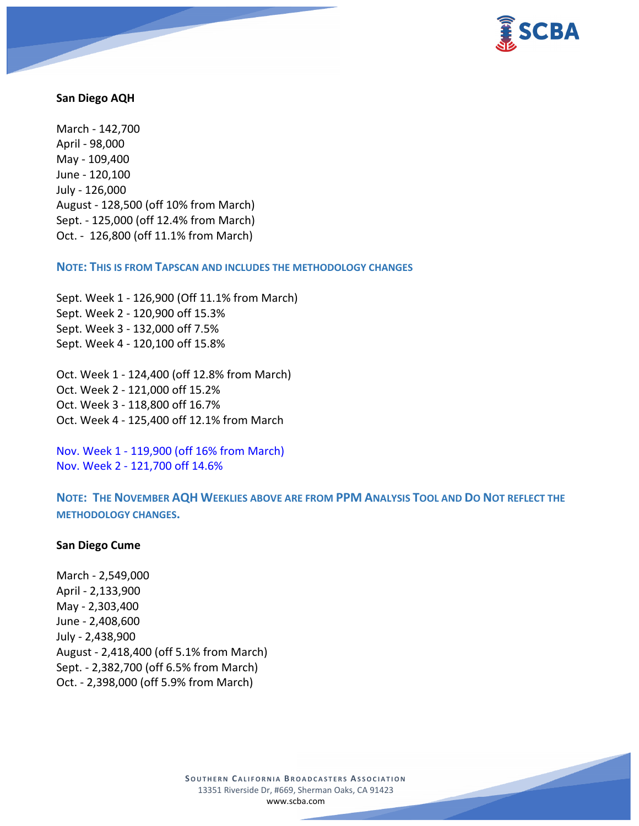

#### **San Diego AQH**

March - 142,700 April - 98,000 May - 109,400 June - 120,100 July - 126,000 August - 128,500 (off 10% from March) Sept. - 125,000 (off 12.4% from March) Oct. - 126,800 (off 11.1% from March)

**NOTE: THIS IS FROM TAPSCAN AND INCLUDES THE METHODOLOGY CHANGES** 

Sept. Week 1 - 126,900 (Off 11.1% from March) Sept. Week 2 - 120,900 off 15.3% Sept. Week 3 - 132,000 off 7.5% Sept. Week 4 - 120,100 off 15.8%

Oct. Week 1 - 124,400 (off 12.8% from March) Oct. Week 2 - 121,000 off 15.2% Oct. Week 3 - 118,800 off 16.7% Oct. Week 4 - 125,400 off 12.1% from March

Nov. Week 1 - 119,900 (off 16% from March) Nov. Week 2 - 121,700 off 14.6%

**NOTE: THE NOVEMBER AQH WEEKLIES ABOVE ARE FROM PPM ANALYSIS TOOL AND DO NOT REFLECT THE METHODOLOGY CHANGES.**

#### **San Diego Cume**

March - 2,549,000 April - 2,133,900 May - 2,303,400 June - 2,408,600 July - 2,438,900 August - 2,418,400 (off 5.1% from March) Sept. - 2,382,700 (off 6.5% from March) Oct. - 2,398,000 (off 5.9% from March)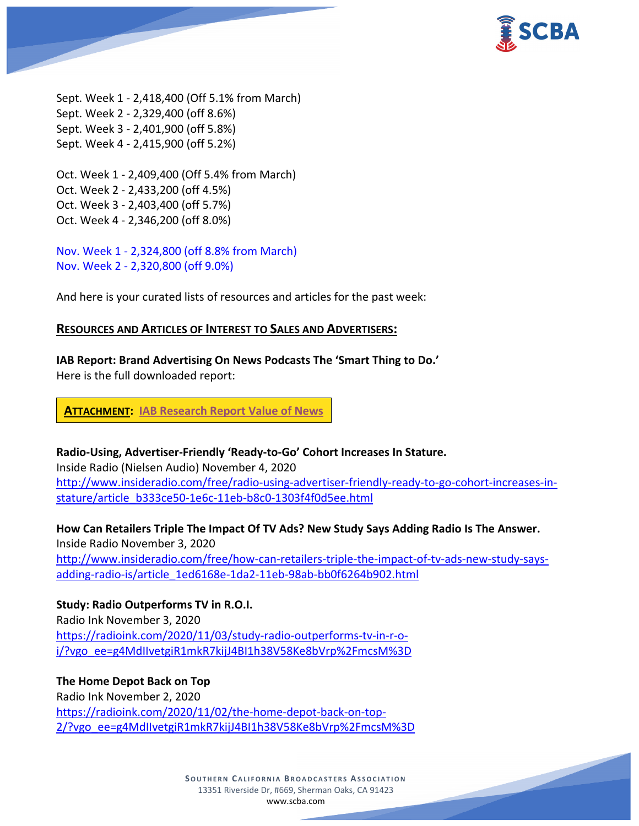

Sept. Week 1 - 2,418,400 (Off 5.1% from March) Sept. Week 2 - 2,329,400 (off 8.6%) Sept. Week 3 - 2,401,900 (off 5.8%) Sept. Week 4 - 2,415,900 (off 5.2%)

Oct. Week 1 - 2,409,400 (Off 5.4% from March) Oct. Week 2 - 2,433,200 (off 4.5%) Oct. Week 3 - 2,403,400 (off 5.7%) Oct. Week 4 - 2,346,200 (off 8.0%)

Nov. Week 1 - 2,324,800 (off 8.8% from March) Nov. Week 2 - 2,320,800 (off 9.0%)

And here is your curated lists of resources and articles for the past week:

### **RESOURCES AND ARTICLES OF INTEREST TO SALES AND ADVERTISERS:**

**IAB Report: Brand Advertising On News Podcasts The 'Smart Thing to Do.'** Here is the full downloaded report:

**ATTACHMENT: IAB [Research Report Value of News](https://scba.com/iab-research-report-value-of-news-102720final1/)**

**Radio-Using, Advertiser-Friendly 'Ready-to-Go' Cohort Increases In Stature.**

Inside Radio (Nielsen Audio) November 4, 2020 [http://www.insideradio.com/free/radio-using-advertiser-friendly-ready-to-go-cohort-increases-in](http://www.insideradio.com/free/radio-using-advertiser-friendly-ready-to-go-cohort-increases-in-stature/article_b333ce50-1e6c-11eb-b8c0-1303f4f0d5ee.html)[stature/article\\_b333ce50-1e6c-11eb-b8c0-1303f4f0d5ee.html](http://www.insideradio.com/free/radio-using-advertiser-friendly-ready-to-go-cohort-increases-in-stature/article_b333ce50-1e6c-11eb-b8c0-1303f4f0d5ee.html)

**How Can Retailers Triple The Impact Of TV Ads? New Study Says Adding Radio Is The Answer.** Inside Radio November 3, 2020 [http://www.insideradio.com/free/how-can-retailers-triple-the-impact-of-tv-ads-new-study-says](http://www.insideradio.com/free/how-can-retailers-triple-the-impact-of-tv-ads-new-study-says-adding-radio-is/article_1ed6168e-1da2-11eb-98ab-bb0f6264b902.html)[adding-radio-is/article\\_1ed6168e-1da2-11eb-98ab-bb0f6264b902.html](http://www.insideradio.com/free/how-can-retailers-triple-the-impact-of-tv-ads-new-study-says-adding-radio-is/article_1ed6168e-1da2-11eb-98ab-bb0f6264b902.html)

**Study: Radio Outperforms TV in R.O.I.** Radio Ink November 3, 2020 [https://radioink.com/2020/11/03/study-radio-outperforms-tv-in-r-o](https://radioink.com/2020/11/03/study-radio-outperforms-tv-in-r-o-i/?vgo_ee=g4MdIIvetgiR1mkR7kijJ4BI1h38V58Ke8bVrp%2FmcsM%3D)[i/?vgo\\_ee=g4MdIIvetgiR1mkR7kijJ4BI1h38V58Ke8bVrp%2FmcsM%3D](https://radioink.com/2020/11/03/study-radio-outperforms-tv-in-r-o-i/?vgo_ee=g4MdIIvetgiR1mkR7kijJ4BI1h38V58Ke8bVrp%2FmcsM%3D)

**The Home Depot Back on Top** Radio Ink November 2, 2020 [https://radioink.com/2020/11/02/the-home-depot-back-on-top-](https://radioink.com/2020/11/02/the-home-depot-back-on-top-2/?vgo_ee=g4MdIIvetgiR1mkR7kijJ4BI1h38V58Ke8bVrp%2FmcsM%3D)[2/?vgo\\_ee=g4MdIIvetgiR1mkR7kijJ4BI1h38V58Ke8bVrp%2FmcsM%3D](https://radioink.com/2020/11/02/the-home-depot-back-on-top-2/?vgo_ee=g4MdIIvetgiR1mkR7kijJ4BI1h38V58Ke8bVrp%2FmcsM%3D)

> **SOUTHERN CALIFORNIA BROADCASTERS ASSOCIATION** 13351 Riverside Dr, #669, Sherman Oaks, CA 91423 [www.scba.com](http://www.scba.com/)

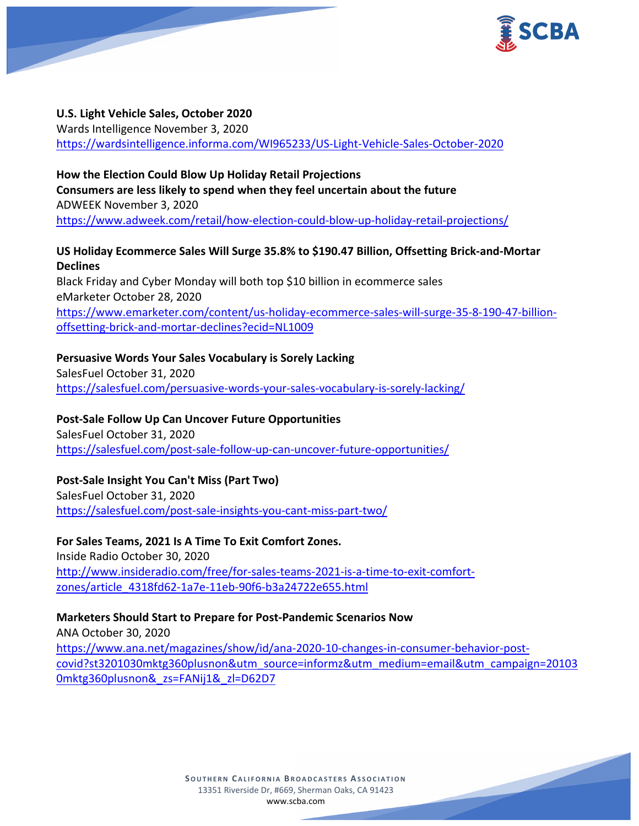

#### **U.S. Light Vehicle Sales, October 2020**

Wards Intelligence November 3, 2020 <https://wardsintelligence.informa.com/WI965233/US-Light-Vehicle-Sales-October-2020>

### **How the Election Could Blow Up Holiday Retail Projections**

**Consumers are less likely to spend when they feel uncertain about the future** ADWEEK November 3, 2020 <https://www.adweek.com/retail/how-election-could-blow-up-holiday-retail-projections/>

## **US Holiday Ecommerce Sales Will Surge 35.8% to \$190.47 Billion, Offsetting Brick-and-Mortar Declines**

Black Friday and Cyber Monday will both top \$10 billion in ecommerce sales eMarketer October 28, 2020 [https://www.emarketer.com/content/us-holiday-ecommerce-sales-will-surge-35-8-190-47-billion](https://www.emarketer.com/content/us-holiday-ecommerce-sales-will-surge-35-8-190-47-billion-offsetting-brick-and-mortar-declines?ecid=NL1009)[offsetting-brick-and-mortar-declines?ecid=NL1009](https://www.emarketer.com/content/us-holiday-ecommerce-sales-will-surge-35-8-190-47-billion-offsetting-brick-and-mortar-declines?ecid=NL1009)

### **Persuasive Words Your Sales Vocabulary is Sorely Lacking**

SalesFuel October 31, 2020 <https://salesfuel.com/persuasive-words-your-sales-vocabulary-is-sorely-lacking/>

### **Post-Sale Follow Up Can Uncover Future Opportunities**

SalesFuel October 31, 2020 <https://salesfuel.com/post-sale-follow-up-can-uncover-future-opportunities/>

## **Post-Sale Insight You Can't Miss (Part Two)**

SalesFuel October 31, 2020 <https://salesfuel.com/post-sale-insights-you-cant-miss-part-two/>

## **For Sales Teams, 2021 Is A Time To Exit Comfort Zones.**

Inside Radio October 30, 2020 [http://www.insideradio.com/free/for-sales-teams-2021-is-a-time-to-exit-comfort](http://www.insideradio.com/free/for-sales-teams-2021-is-a-time-to-exit-comfort-zones/article_4318fd62-1a7e-11eb-90f6-b3a24722e655.html)[zones/article\\_4318fd62-1a7e-11eb-90f6-b3a24722e655.html](http://www.insideradio.com/free/for-sales-teams-2021-is-a-time-to-exit-comfort-zones/article_4318fd62-1a7e-11eb-90f6-b3a24722e655.html)

### **Marketers Should Start to Prepare for Post-Pandemic Scenarios Now**

ANA October 30, 2020 [https://www.ana.net/magazines/show/id/ana-2020-10-changes-in-consumer-behavior-post](https://www.ana.net/magazines/show/id/ana-2020-10-changes-in-consumer-behavior-post-covid?st3201030mktg360plusnon&utm_source=informz&utm_medium=email&utm_campaign=201030mktg360plusnon&_zs=FANij1&_zl=D62D7)[covid?st3201030mktg360plusnon&utm\\_source=informz&utm\\_medium=email&utm\\_campaign=20103](https://www.ana.net/magazines/show/id/ana-2020-10-changes-in-consumer-behavior-post-covid?st3201030mktg360plusnon&utm_source=informz&utm_medium=email&utm_campaign=201030mktg360plusnon&_zs=FANij1&_zl=D62D7) [0mktg360plusnon&\\_zs=FANij1&\\_zl=D62D7](https://www.ana.net/magazines/show/id/ana-2020-10-changes-in-consumer-behavior-post-covid?st3201030mktg360plusnon&utm_source=informz&utm_medium=email&utm_campaign=201030mktg360plusnon&_zs=FANij1&_zl=D62D7)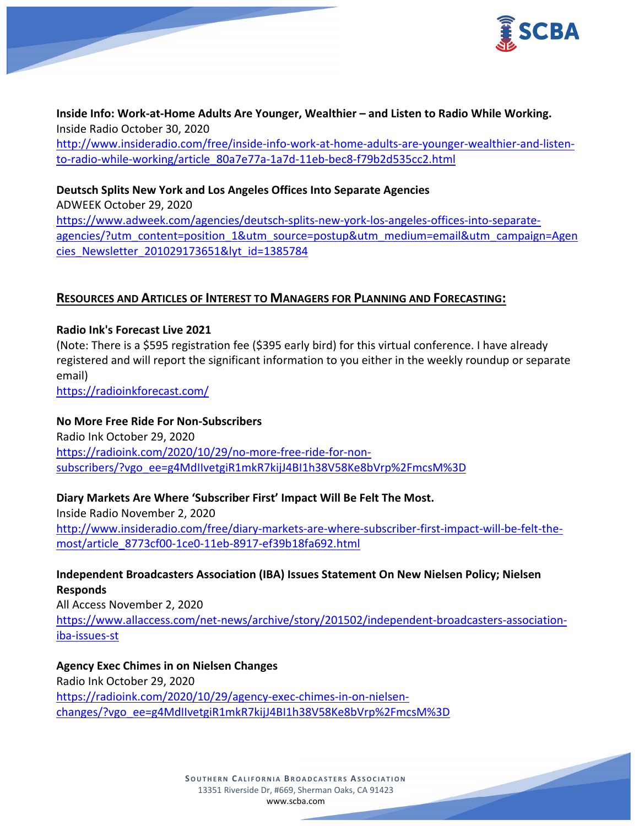



**Inside Info: Work-at-Home Adults Are Younger, Wealthier – and Listen to Radio While Working.** Inside Radio October 30, 2020 [http://www.insideradio.com/free/inside-info-work-at-home-adults-are-younger-wealthier-and-listen](http://www.insideradio.com/free/inside-info-work-at-home-adults-are-younger-wealthier-and-listen-to-radio-while-working/article_80a7e77a-1a7d-11eb-bec8-f79b2d535cc2.html)[to-radio-while-working/article\\_80a7e77a-1a7d-11eb-bec8-f79b2d535cc2.html](http://www.insideradio.com/free/inside-info-work-at-home-adults-are-younger-wealthier-and-listen-to-radio-while-working/article_80a7e77a-1a7d-11eb-bec8-f79b2d535cc2.html)

## **Deutsch Splits New York and Los Angeles Offices Into Separate Agencies**

ADWEEK October 29, 2020 [https://www.adweek.com/agencies/deutsch-splits-new-york-los-angeles-offices-into-separate](https://www.adweek.com/agencies/deutsch-splits-new-york-los-angeles-offices-into-separate-agencies/?utm_content=position_1&utm_source=postup&utm_medium=email&utm_campaign=Agencies_Newsletter_201029173651&lyt_id=1385784)[agencies/?utm\\_content=position\\_1&utm\\_source=postup&utm\\_medium=email&utm\\_campaign=Agen](https://www.adweek.com/agencies/deutsch-splits-new-york-los-angeles-offices-into-separate-agencies/?utm_content=position_1&utm_source=postup&utm_medium=email&utm_campaign=Agencies_Newsletter_201029173651&lyt_id=1385784) [cies\\_Newsletter\\_201029173651&lyt\\_id=1385784](https://www.adweek.com/agencies/deutsch-splits-new-york-los-angeles-offices-into-separate-agencies/?utm_content=position_1&utm_source=postup&utm_medium=email&utm_campaign=Agencies_Newsletter_201029173651&lyt_id=1385784)

### **RESOURCES AND ARTICLES OF INTEREST TO MANAGERS FOR PLANNING AND FORECASTING:**

### **Radio Ink's Forecast Live 2021**

(Note: There is a \$595 registration fee (\$395 early bird) for this virtual conference. I have already registered and will report the significant information to you either in the weekly roundup or separate email)

<https://radioinkforecast.com/>

### **No More Free Ride For Non-Subscribers**

Radio Ink October 29, 2020 [https://radioink.com/2020/10/29/no-more-free-ride-for-non](https://radioink.com/2020/10/29/no-more-free-ride-for-non-subscribers/?vgo_ee=g4MdIIvetgiR1mkR7kijJ4BI1h38V58Ke8bVrp%2FmcsM%3D)[subscribers/?vgo\\_ee=g4MdIIvetgiR1mkR7kijJ4BI1h38V58Ke8bVrp%2FmcsM%3D](https://radioink.com/2020/10/29/no-more-free-ride-for-non-subscribers/?vgo_ee=g4MdIIvetgiR1mkR7kijJ4BI1h38V58Ke8bVrp%2FmcsM%3D)

### **Diary Markets Are Where 'Subscriber First' Impact Will Be Felt The Most.**

Inside Radio November 2, 2020 [http://www.insideradio.com/free/diary-markets-are-where-subscriber-first-impact-will-be-felt-the](http://www.insideradio.com/free/diary-markets-are-where-subscriber-first-impact-will-be-felt-the-most/article_8773cf00-1ce0-11eb-8917-ef39b18fa692.html)[most/article\\_8773cf00-1ce0-11eb-8917-ef39b18fa692.html](http://www.insideradio.com/free/diary-markets-are-where-subscriber-first-impact-will-be-felt-the-most/article_8773cf00-1ce0-11eb-8917-ef39b18fa692.html)

# **Independent Broadcasters Association (IBA) Issues Statement On New Nielsen Policy; Nielsen Responds**

All Access November 2, 2020 [https://www.allaccess.com/net-news/archive/story/201502/independent-broadcasters-association](https://www.allaccess.com/net-news/archive/story/201502/independent-broadcasters-association-iba-issues-st)[iba-issues-st](https://www.allaccess.com/net-news/archive/story/201502/independent-broadcasters-association-iba-issues-st)

**Agency Exec Chimes in on Nielsen Changes** Radio Ink October 29, 2020 [https://radioink.com/2020/10/29/agency-exec-chimes-in-on-nielsen](https://radioink.com/2020/10/29/agency-exec-chimes-in-on-nielsen-changes/?vgo_ee=g4MdIIvetgiR1mkR7kijJ4BI1h38V58Ke8bVrp%2FmcsM%3D)[changes/?vgo\\_ee=g4MdIIvetgiR1mkR7kijJ4BI1h38V58Ke8bVrp%2FmcsM%3D](https://radioink.com/2020/10/29/agency-exec-chimes-in-on-nielsen-changes/?vgo_ee=g4MdIIvetgiR1mkR7kijJ4BI1h38V58Ke8bVrp%2FmcsM%3D)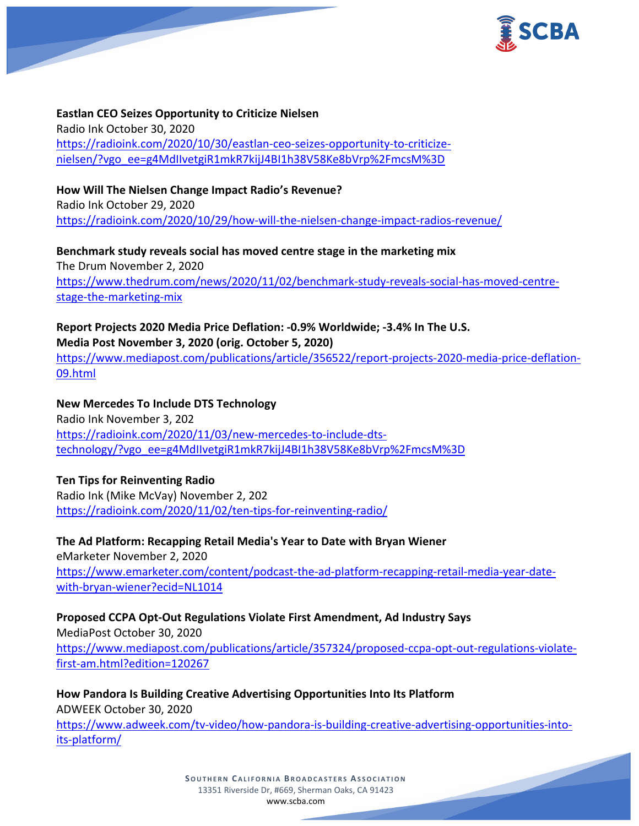

**Eastlan CEO Seizes Opportunity to Criticize Nielsen** Radio Ink October 30, 2020 [https://radioink.com/2020/10/30/eastlan-ceo-seizes-opportunity-to-criticize](https://radioink.com/2020/10/30/eastlan-ceo-seizes-opportunity-to-criticize-nielsen/?vgo_ee=g4MdIIvetgiR1mkR7kijJ4BI1h38V58Ke8bVrp%2FmcsM%3D)[nielsen/?vgo\\_ee=g4MdIIvetgiR1mkR7kijJ4BI1h38V58Ke8bVrp%2FmcsM%3D](https://radioink.com/2020/10/30/eastlan-ceo-seizes-opportunity-to-criticize-nielsen/?vgo_ee=g4MdIIvetgiR1mkR7kijJ4BI1h38V58Ke8bVrp%2FmcsM%3D)

**How Will The Nielsen Change Impact Radio's Revenue?** Radio Ink October 29, 2020 <https://radioink.com/2020/10/29/how-will-the-nielsen-change-impact-radios-revenue/>

**Benchmark study reveals social has moved centre stage in the marketing mix** The Drum November 2, 2020 [https://www.thedrum.com/news/2020/11/02/benchmark-study-reveals-social-has-moved-centre](https://www.thedrum.com/news/2020/11/02/benchmark-study-reveals-social-has-moved-centre-stage-the-marketing-mix)[stage-the-marketing-mix](https://www.thedrum.com/news/2020/11/02/benchmark-study-reveals-social-has-moved-centre-stage-the-marketing-mix)

**Report Projects 2020 Media Price Deflation: -0.9% Worldwide; -3.4% In The U.S. Media Post November 3, 2020 (orig. October 5, 2020)** [https://www.mediapost.com/publications/article/356522/report-projects-2020-media-price-deflation-](https://www.mediapost.com/publications/article/356522/report-projects-2020-media-price-deflation-09.html)[09.html](https://www.mediapost.com/publications/article/356522/report-projects-2020-media-price-deflation-09.html)

**New Mercedes To Include DTS Technology** Radio Ink November 3, 202 [https://radioink.com/2020/11/03/new-mercedes-to-include-dts](https://radioink.com/2020/11/03/new-mercedes-to-include-dts-technology/?vgo_ee=g4MdIIvetgiR1mkR7kijJ4BI1h38V58Ke8bVrp%2FmcsM%3D)[technology/?vgo\\_ee=g4MdIIvetgiR1mkR7kijJ4BI1h38V58Ke8bVrp%2FmcsM%3D](https://radioink.com/2020/11/03/new-mercedes-to-include-dts-technology/?vgo_ee=g4MdIIvetgiR1mkR7kijJ4BI1h38V58Ke8bVrp%2FmcsM%3D)

## **Ten Tips for Reinventing Radio**

Radio Ink (Mike McVay) November 2, 202 <https://radioink.com/2020/11/02/ten-tips-for-reinventing-radio/>

**The Ad Platform: Recapping Retail Media's Year to Date with Bryan Wiener** eMarketer November 2, 2020 [https://www.emarketer.com/content/podcast-the-ad-platform-recapping-retail-media-year-date](https://www.emarketer.com/content/podcast-the-ad-platform-recapping-retail-media-year-date-with-bryan-wiener?ecid=NL1014)[with-bryan-wiener?ecid=NL1014](https://www.emarketer.com/content/podcast-the-ad-platform-recapping-retail-media-year-date-with-bryan-wiener?ecid=NL1014)

**Proposed CCPA Opt-Out Regulations Violate First Amendment, Ad Industry Says** MediaPost October 30, 2020

[https://www.mediapost.com/publications/article/357324/proposed-ccpa-opt-out-regulations-violate](https://www.mediapost.com/publications/article/357324/proposed-ccpa-opt-out-regulations-violate-first-am.html?edition=120267)[first-am.html?edition=120267](https://www.mediapost.com/publications/article/357324/proposed-ccpa-opt-out-regulations-violate-first-am.html?edition=120267)

**How Pandora Is Building Creative Advertising Opportunities Into Its Platform** ADWEEK October 30, 2020 [https://www.adweek.com/tv-video/how-pandora-is-building-creative-advertising-opportunities-into](https://www.adweek.com/tv-video/how-pandora-is-building-creative-advertising-opportunities-into-its-platform/)[its-platform/](https://www.adweek.com/tv-video/how-pandora-is-building-creative-advertising-opportunities-into-its-platform/)